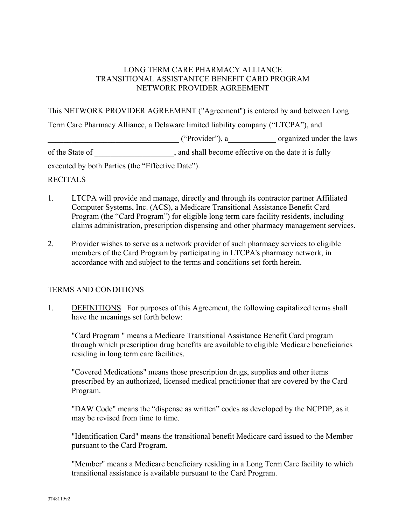## LONG TERM CARE PHARMACY ALLIANCE TRANSITIONAL ASSISTANTCE BENEFIT CARD PROGRAM NETWORK PROVIDER AGREEMENT

This NETWORK PROVIDER AGREEMENT ("Agreement") is entered by and between Long

Term Care Pharmacy Alliance, a Delaware limited liability company ("LTCPA"), and

\_\_\_\_\_\_\_\_\_\_\_\_\_\_\_\_\_\_\_\_\_\_\_\_\_\_\_\_\_\_\_\_\_ ("Provider"), a\_\_\_\_\_\_\_\_\_\_\_\_ organized under the laws

of the State of  $\Box$ , and shall become effective on the date it is fully

executed by both Parties (the "Effective Date").

## RECITALS

- 1. LTCPA will provide and manage, directly and through its contractor partner Affiliated Computer Systems, Inc. (ACS), a Medicare Transitional Assistance Benefit Card Program (the "Card Program") for eligible long term care facility residents, including claims administration, prescription dispensing and other pharmacy management services.
- 2. Provider wishes to serve as a network provider of such pharmacy services to eligible members of the Card Program by participating in LTCPA's pharmacy network, in accordance with and subject to the terms and conditions set forth herein.

# TERMS AND CONDITIONS

1. DEFINITIONS For purposes of this Agreement, the following capitalized terms shall have the meanings set forth below:

 "Card Program " means a Medicare Transitional Assistance Benefit Card program through which prescription drug benefits are available to eligible Medicare beneficiaries residing in long term care facilities.

 "Covered Medications" means those prescription drugs, supplies and other items prescribed by an authorized, licensed medical practitioner that are covered by the Card Program.

 "DAW Code" means the "dispense as written" codes as developed by the NCPDP, as it may be revised from time to time.

 "Identification Card" means the transitional benefit Medicare card issued to the Member pursuant to the Card Program.

 "Member" means a Medicare beneficiary residing in a Long Term Care facility to which transitional assistance is available pursuant to the Card Program.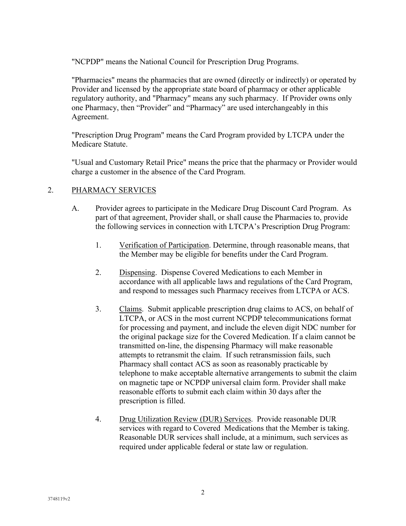"NCPDP" means the National Council for Prescription Drug Programs.

 "Pharmacies" means the pharmacies that are owned (directly or indirectly) or operated by Provider and licensed by the appropriate state board of pharmacy or other applicable regulatory authority, and "Pharmacy" means any such pharmacy. If Provider owns only one Pharmacy, then "Provider" and "Pharmacy" are used interchangeably in this Agreement.

 "Prescription Drug Program" means the Card Program provided by LTCPA under the Medicare Statute.

 "Usual and Customary Retail Price" means the price that the pharmacy or Provider would charge a customer in the absence of the Card Program.

# 2. PHARMACY SERVICES

- A. Provider agrees to participate in the Medicare Drug Discount Card Program. As part of that agreement, Provider shall, or shall cause the Pharmacies to, provide the following services in connection with LTCPA's Prescription Drug Program:
	- 1. Verification of Participation. Determine, through reasonable means, that the Member may be eligible for benefits under the Card Program.
	- 2. Dispensing. Dispense Covered Medications to each Member in accordance with all applicable laws and regulations of the Card Program, and respond to messages such Pharmacy receives from LTCPA or ACS.
	- 3. Claims. Submit applicable prescription drug claims to ACS, on behalf of LTCPA, or ACS in the most current NCPDP telecommunications format for processing and payment, and include the eleven digit NDC number for the original package size for the Covered Medication. If a claim cannot be transmitted on-line, the dispensing Pharmacy will make reasonable attempts to retransmit the claim. If such retransmission fails, such Pharmacy shall contact ACS as soon as reasonably practicable by telephone to make acceptable alternative arrangements to submit the claim on magnetic tape or NCPDP universal claim form. Provider shall make reasonable efforts to submit each claim within 30 days after the prescription is filled.
	- 4. Drug Utilization Review (DUR) Services. Provide reasonable DUR services with regard to Covered Medications that the Member is taking. Reasonable DUR services shall include, at a minimum, such services as required under applicable federal or state law or regulation.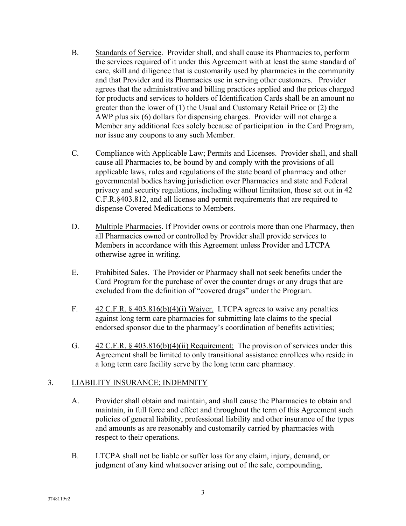- B. Standards of Service. Provider shall, and shall cause its Pharmacies to, perform the services required of it under this Agreement with at least the same standard of care, skill and diligence that is customarily used by pharmacies in the community and that Provider and its Pharmacies use in serving other customers. Provider agrees that the administrative and billing practices applied and the prices charged for products and services to holders of Identification Cards shall be an amount no greater than the lower of (1) the Usual and Customary Retail Price or (2) the AWP plus six (6) dollars for dispensing charges. Provider will not charge a Member any additional fees solely because of participation in the Card Program, nor issue any coupons to any such Member.
- C. Compliance with Applicable Law; Permits and Licenses. Provider shall, and shall cause all Pharmacies to, be bound by and comply with the provisions of all applicable laws, rules and regulations of the state board of pharmacy and other governmental bodies having jurisdiction over Pharmacies and state and Federal privacy and security regulations, including without limitation, those set out in 42 C.F.R.§403.812, and all license and permit requirements that are required to dispense Covered Medications to Members.
- D. Multiple Pharmacies. If Provider owns or controls more than one Pharmacy, then all Pharmacies owned or controlled by Provider shall provide services to Members in accordance with this Agreement unless Provider and LTCPA otherwise agree in writing.
- E. Prohibited Sales. The Provider or Pharmacy shall not seek benefits under the Card Program for the purchase of over the counter drugs or any drugs that are excluded from the definition of "covered drugs" under the Program.
- F.  $\frac{42 \text{ C.F.R. } 8403.816(b)(4)(i) \text{ Wavier. } 1 \text{ TCPA agrees to wave any penalties}$ against long term care pharmacies for submitting late claims to the special endorsed sponsor due to the pharmacy's coordination of benefits activities;
- G. 42 C.F.R. § 403.816(b)(4)(ii) Requirement: The provision of services under this Agreement shall be limited to only transitional assistance enrollees who reside in a long term care facility serve by the long term care pharmacy.

# 3. LIABILITY INSURANCE; INDEMNITY

- A. Provider shall obtain and maintain, and shall cause the Pharmacies to obtain and maintain, in full force and effect and throughout the term of this Agreement such policies of general liability, professional liability and other insurance of the types and amounts as are reasonably and customarily carried by pharmacies with respect to their operations.
- B. LTCPA shall not be liable or suffer loss for any claim, injury, demand, or judgment of any kind whatsoever arising out of the sale, compounding,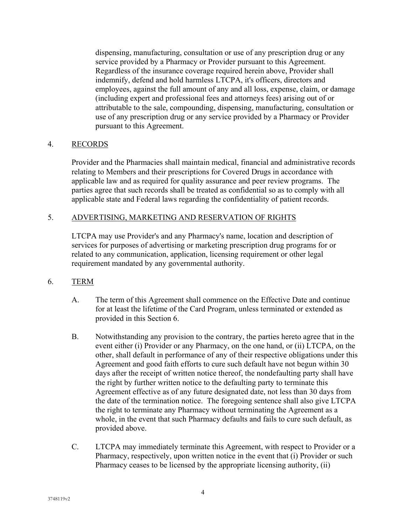dispensing, manufacturing, consultation or use of any prescription drug or any service provided by a Pharmacy or Provider pursuant to this Agreement. Regardless of the insurance coverage required herein above, Provider shall indemnify, defend and hold harmless LTCPA, it's officers, directors and employees, against the full amount of any and all loss, expense, claim, or damage (including expert and professional fees and attorneys fees) arising out of or attributable to the sale, compounding, dispensing, manufacturing, consultation or use of any prescription drug or any service provided by a Pharmacy or Provider pursuant to this Agreement.

### 4. RECORDS

 Provider and the Pharmacies shall maintain medical, financial and administrative records relating to Members and their prescriptions for Covered Drugs in accordance with applicable law and as required for quality assurance and peer review programs. The parties agree that such records shall be treated as confidential so as to comply with all applicable state and Federal laws regarding the confidentiality of patient records.

## 5. ADVERTISING, MARKETING AND RESERVATION OF RIGHTS

 LTCPA may use Provider's and any Pharmacy's name, location and description of services for purposes of advertising or marketing prescription drug programs for or related to any communication, application, licensing requirement or other legal requirement mandated by any governmental authority.

### 6. TERM

- A. The term of this Agreement shall commence on the Effective Date and continue for at least the lifetime of the Card Program, unless terminated or extended as provided in this Section 6.
- B. Notwithstanding any provision to the contrary, the parties hereto agree that in the event either (i) Provider or any Pharmacy, on the one hand, or (ii) LTCPA, on the other, shall default in performance of any of their respective obligations under this Agreement and good faith efforts to cure such default have not begun within 30 days after the receipt of written notice thereof, the nondefaulting party shall have the right by further written notice to the defaulting party to terminate this Agreement effective as of any future designated date, not less than 30 days from the date of the termination notice. The foregoing sentence shall also give LTCPA the right to terminate any Pharmacy without terminating the Agreement as a whole, in the event that such Pharmacy defaults and fails to cure such default, as provided above.
- C. LTCPA may immediately terminate this Agreement, with respect to Provider or a Pharmacy, respectively, upon written notice in the event that (i) Provider or such Pharmacy ceases to be licensed by the appropriate licensing authority, (ii)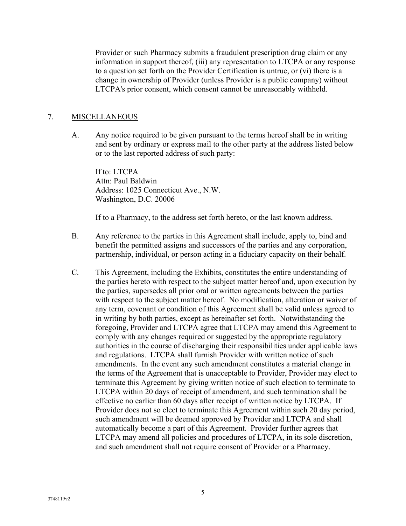Provider or such Pharmacy submits a fraudulent prescription drug claim or any information in support thereof, (iii) any representation to LTCPA or any response to a question set forth on the Provider Certification is untrue, or (vi) there is a change in ownership of Provider (unless Provider is a public company) without LTCPA's prior consent, which consent cannot be unreasonably withheld.

### 7. MISCELLANEOUS

 A. Any notice required to be given pursuant to the terms hereof shall be in writing and sent by ordinary or express mail to the other party at the address listed below or to the last reported address of such party:

 If to: LTCPA Attn: Paul Baldwin Address: 1025 Connecticut Ave., N.W. Washington, D.C. 20006

If to a Pharmacy, to the address set forth hereto, or the last known address.

- B. Any reference to the parties in this Agreement shall include, apply to, bind and benefit the permitted assigns and successors of the parties and any corporation, partnership, individual, or person acting in a fiduciary capacity on their behalf.
- C. This Agreement, including the Exhibits, constitutes the entire understanding of the parties hereto with respect to the subject matter hereof and, upon execution by the parties, supersedes all prior oral or written agreements between the parties with respect to the subject matter hereof. No modification, alteration or waiver of any term, covenant or condition of this Agreement shall be valid unless agreed to in writing by both parties, except as hereinafter set forth. Notwithstanding the foregoing, Provider and LTCPA agree that LTCPA may amend this Agreement to comply with any changes required or suggested by the appropriate regulatory authorities in the course of discharging their responsibilities under applicable laws and regulations. LTCPA shall furnish Provider with written notice of such amendments. In the event any such amendment constitutes a material change in the terms of the Agreement that is unacceptable to Provider, Provider may elect to terminate this Agreement by giving written notice of such election to terminate to LTCPA within 20 days of receipt of amendment, and such termination shall be effective no earlier than 60 days after receipt of written notice by LTCPA. If Provider does not so elect to terminate this Agreement within such 20 day period, such amendment will be deemed approved by Provider and LTCPA and shall automatically become a part of this Agreement. Provider further agrees that LTCPA may amend all policies and procedures of LTCPA, in its sole discretion, and such amendment shall not require consent of Provider or a Pharmacy.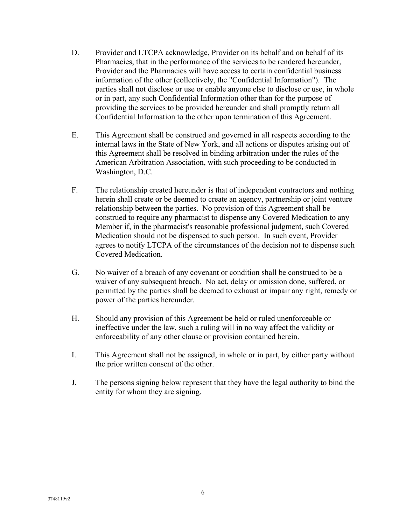- D. Provider and LTCPA acknowledge, Provider on its behalf and on behalf of its Pharmacies, that in the performance of the services to be rendered hereunder, Provider and the Pharmacies will have access to certain confidential business information of the other (collectively, the "Confidential Information"). The parties shall not disclose or use or enable anyone else to disclose or use, in whole or in part, any such Confidential Information other than for the purpose of providing the services to be provided hereunder and shall promptly return all Confidential Information to the other upon termination of this Agreement.
- E. This Agreement shall be construed and governed in all respects according to the internal laws in the State of New York, and all actions or disputes arising out of this Agreement shall be resolved in binding arbitration under the rules of the American Arbitration Association, with such proceeding to be conducted in Washington, D.C.
- F. The relationship created hereunder is that of independent contractors and nothing herein shall create or be deemed to create an agency, partnership or joint venture relationship between the parties. No provision of this Agreement shall be construed to require any pharmacist to dispense any Covered Medication to any Member if, in the pharmacist's reasonable professional judgment, such Covered Medication should not be dispensed to such person. In such event, Provider agrees to notify LTCPA of the circumstances of the decision not to dispense such Covered Medication.
- G. No waiver of a breach of any covenant or condition shall be construed to be a waiver of any subsequent breach. No act, delay or omission done, suffered, or permitted by the parties shall be deemed to exhaust or impair any right, remedy or power of the parties hereunder.
- H. Should any provision of this Agreement be held or ruled unenforceable or ineffective under the law, such a ruling will in no way affect the validity or enforceability of any other clause or provision contained herein.
- I. This Agreement shall not be assigned, in whole or in part, by either party without the prior written consent of the other.
- J. The persons signing below represent that they have the legal authority to bind the entity for whom they are signing.